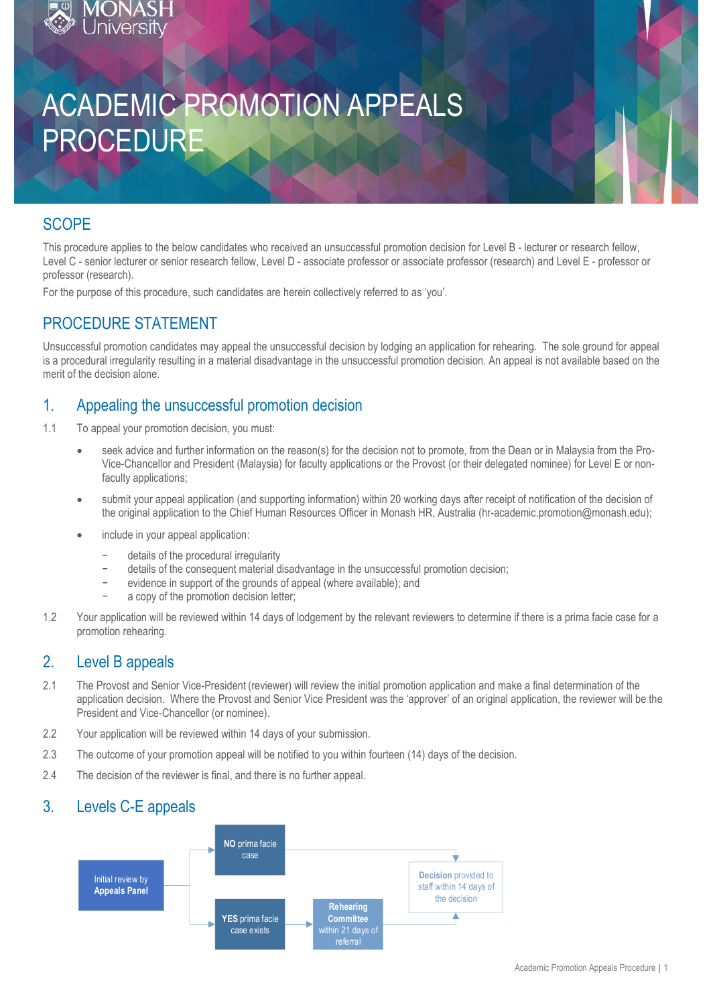# ACADEMIC PROMOTION APPEALS PROCEDURE

## **SCOPE**

This procedure applies to the below candidates who received an unsuccessful promotion decision for Level B - lecturer or research fellow, Level C - senior lecturer or senior research fellow, Level D - associate professor or associate professor (research) and Level E - professor or professor (research).

For the purpose of this procedure, such candidates are herein collectively referred to as 'you'.

## PROCEDURE STATEMENT

hiversit

Unsuccessful promotion candidates may appeal the unsuccessful decision by lodging an application for rehearing. The sole ground for appeal is a procedural irregularity resulting in a material disadvantage in the unsuccessful promotion decision. An appeal is not available based on the merit of the decision alone.

## 1. Appealing the unsuccessful promotion decision

- 1.1 To appeal your promotion decision, you must:
	- seek advice and further information on the reason(s) for the decision not to promote, from the Dean or in Malaysia from the Pro-Vice-Chancellor and President (Malaysia) for faculty applications or the Provost (or their delegated nominee) for Level E or nonfaculty applications:
	- submit your appeal application (and supporting information) within 20 working days after receipt of notification of the decision of the original application to the Chief Human Resources Officer in Monash HR, Australia (hr-academic.promotion@monash.edu);
	- include in your appeal application:
		- − details of the procedural irregularity
		- − details of the consequent material disadvantage in the unsuccessful promotion decision;
		- evidence in support of the grounds of appeal (where available); and
		- a copy of the promotion decision letter:
- 1.2 Your application will be reviewed within 14 days of lodgement by the relevant reviewers to determine if there is a prima facie case for a promotion rehearing.

## 2. Level B appeals

- 2.1 The Provost and Senior Vice-President (reviewer) will review the initial promotion application and make a final determination of the application decision. Where the Provost and Senior Vice President was the 'approver' of an original application, the reviewer will be the President and Vice-Chancellor (or nominee).
- 2.2 Your application will be reviewed within 14 days of your submission.
- 2.3 The outcome of your promotion appeal will be notified to you within fourteen (14) days of the decision.
- 2.4 The decision of the reviewer is final, and there is no further appeal.

## 3. Levels C-E appeals

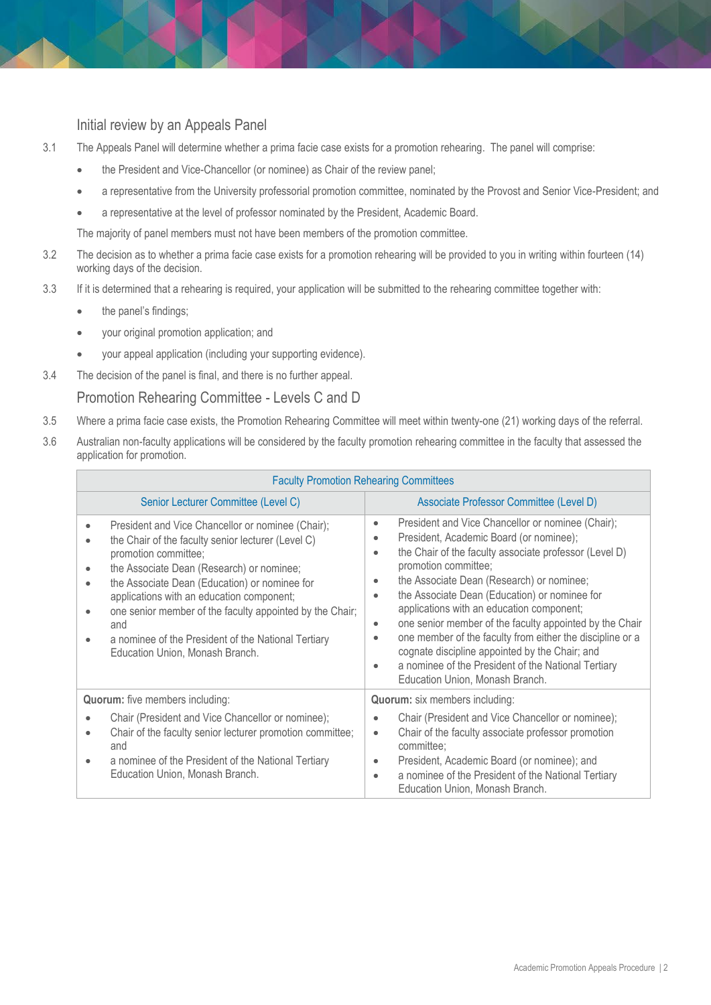#### Initial review by an Appeals Panel

- 3.1 The Appeals Panel will determine whether a prima facie case exists for a promotion rehearing. The panel will comprise:
	- the President and Vice-Chancellor (or nominee) as Chair of the review panel;
	- a representative from the University professorial promotion committee, nominated by the Provost and Senior Vice-President; and
	- a representative at the level of professor nominated by the President, Academic Board.

The majority of panel members must not have been members of the promotion committee.

- 3.2 The decision as to whether a prima facie case exists for a promotion rehearing will be provided to you in writing within fourteen (14) working days of the decision.
- 3.3 If it is determined that a rehearing is required, your application will be submitted to the rehearing committee together with:
	- the panel's findings;
	- your original promotion application; and
	- your appeal application (including your supporting evidence).
- 3.4 The decision of the panel is final, and there is no further appeal.

#### Promotion Rehearing Committee - Levels C and D

- 3.5 Where a prima facie case exists, the Promotion Rehearing Committee will meet within twenty-one (21) working days of the referral.
- 3.6 Australian non-faculty applications will be considered by the faculty promotion rehearing committee in the faculty that assessed the application for promotion.

| <b>Faculty Promotion Rehearing Committees</b>                                                                                                                                                                                                                                                                                                                                                                                                        |                                                                                                                                                                                                                                                                                                                                                                                                                                                                                                                                                                                                                           |  |  |
|------------------------------------------------------------------------------------------------------------------------------------------------------------------------------------------------------------------------------------------------------------------------------------------------------------------------------------------------------------------------------------------------------------------------------------------------------|---------------------------------------------------------------------------------------------------------------------------------------------------------------------------------------------------------------------------------------------------------------------------------------------------------------------------------------------------------------------------------------------------------------------------------------------------------------------------------------------------------------------------------------------------------------------------------------------------------------------------|--|--|
| Senior Lecturer Committee (Level C)                                                                                                                                                                                                                                                                                                                                                                                                                  | Associate Professor Committee (Level D)                                                                                                                                                                                                                                                                                                                                                                                                                                                                                                                                                                                   |  |  |
| President and Vice Chancellor or nominee (Chair);<br>$\bullet$<br>the Chair of the faculty senior lecturer (Level C)<br>promotion committee;<br>the Associate Dean (Research) or nominee;<br>the Associate Dean (Education) or nominee for<br>applications with an education component;<br>one senior member of the faculty appointed by the Chair;<br>and<br>a nominee of the President of the National Tertiary<br>Education Union, Monash Branch. | President and Vice Chancellor or nominee (Chair);<br>۰<br>President, Academic Board (or nominee);<br>the Chair of the faculty associate professor (Level D)<br>٠<br>promotion committee;<br>the Associate Dean (Research) or nominee;<br>the Associate Dean (Education) or nominee for<br>$\bullet$<br>applications with an education component;<br>one senior member of the faculty appointed by the Chair<br>٠<br>one member of the faculty from either the discipline or a<br>cognate discipline appointed by the Chair; and<br>a nominee of the President of the National Tertiary<br>Education Union, Monash Branch. |  |  |
| <b>Quorum:</b> five members including:<br><b>Quorum:</b> six members including:                                                                                                                                                                                                                                                                                                                                                                      |                                                                                                                                                                                                                                                                                                                                                                                                                                                                                                                                                                                                                           |  |  |
| Chair (President and Vice Chancellor or nominee);<br>Chair of the faculty senior lecturer promotion committee;<br>and<br>a nominee of the President of the National Tertiary<br>Education Union, Monash Branch.                                                                                                                                                                                                                                      | Chair (President and Vice Chancellor or nominee);<br>Chair of the faculty associate professor promotion<br>$\bullet$<br>committee;<br>President, Academic Board (or nominee); and<br>۰<br>a nominee of the President of the National Tertiary<br>٠<br>Education Union, Monash Branch.                                                                                                                                                                                                                                                                                                                                     |  |  |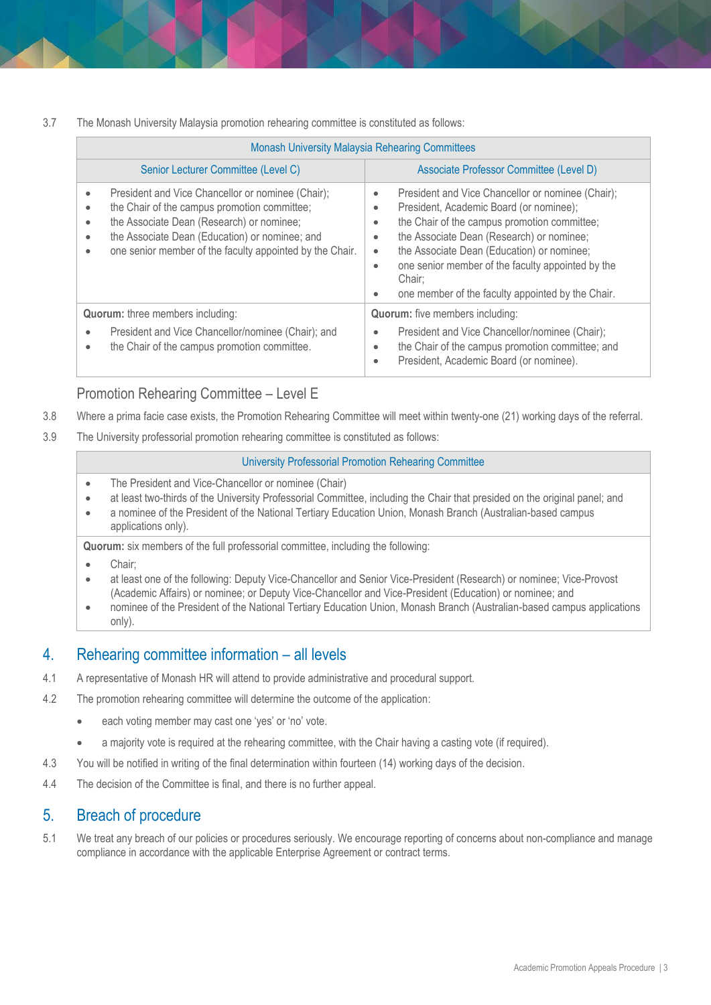3.7 The Monash University Malaysia promotion rehearing committee is constituted as follows:

| <b>Monash University Malaysia Rehearing Committees</b>        |                                                                                                                                                                                                                                                              |                                                                                                                                                                                                                                                                                                                                                                                                   |  |
|---------------------------------------------------------------|--------------------------------------------------------------------------------------------------------------------------------------------------------------------------------------------------------------------------------------------------------------|---------------------------------------------------------------------------------------------------------------------------------------------------------------------------------------------------------------------------------------------------------------------------------------------------------------------------------------------------------------------------------------------------|--|
|                                                               | Senior Lecturer Committee (Level C)                                                                                                                                                                                                                          | Associate Professor Committee (Level D)                                                                                                                                                                                                                                                                                                                                                           |  |
| $\bullet$<br>$\bullet$<br>$\bullet$<br>$\bullet$<br>$\bullet$ | President and Vice Chancellor or nominee (Chair);<br>the Chair of the campus promotion committee;<br>the Associate Dean (Research) or nominee;<br>the Associate Dean (Education) or nominee; and<br>one senior member of the faculty appointed by the Chair. | President and Vice Chancellor or nominee (Chair);<br>۰<br>President, Academic Board (or nominee);<br>٠<br>the Chair of the campus promotion committee;<br>۰<br>the Associate Dean (Research) or nominee;<br>٠<br>the Associate Dean (Education) or nominee;<br>$\bullet$<br>one senior member of the faculty appointed by the<br>۰<br>Chair:<br>one member of the faculty appointed by the Chair. |  |
| <b>Quorum:</b> three members including:                       |                                                                                                                                                                                                                                                              | <b>Quorum:</b> five members including:                                                                                                                                                                                                                                                                                                                                                            |  |
| ۰<br>٠                                                        | President and Vice Chancellor/nominee (Chair); and<br>the Chair of the campus promotion committee.                                                                                                                                                           | President and Vice Chancellor/nominee (Chair);<br>۰<br>the Chair of the campus promotion committee; and<br>۰<br>President, Academic Board (or nominee).<br>٠                                                                                                                                                                                                                                      |  |

#### Promotion Rehearing Committee – Level E

- 3.8 Where a prima facie case exists, the Promotion Rehearing Committee will meet within twenty-one (21) working days of the referral.
- 3.9 The University professorial promotion rehearing committee is constituted as follows:

#### University Professorial Promotion Rehearing Committee

- The President and Vice-Chancellor or nominee (Chair)
- at least two-thirds of the University Professorial Committee, including the Chair that presided on the original panel; and
- a nominee of the President of the National Tertiary Education Union, Monash Branch (Australian-based campus applications only).

**Quorum:** six members of the full professorial committee, including the following:

- Chair;
- at least one of the following: Deputy Vice-Chancellor and Senior Vice-President (Research) or nominee; Vice-Provost (Academic Affairs) or nominee; or Deputy Vice-Chancellor and Vice-President (Education) or nominee; and
- nominee of the President of the National Tertiary Education Union, Monash Branch (Australian-based campus applications only).

## 4. Rehearing committee information – all levels

- 4.1 A representative of Monash HR will attend to provide administrative and procedural support.
- 4.2 The promotion rehearing committee will determine the outcome of the application:
	- each voting member may cast one 'yes' or 'no' vote.
	- a majority vote is required at the rehearing committee, with the Chair having a casting vote (if required).
- 4.3 You will be notified in writing of the final determination within fourteen (14) working days of the decision.
- 4.4 The decision of the Committee is final, and there is no further appeal.

## 5. Breach of procedure

5.1 We treat any breach of our policies or procedures seriously. We encourage reporting of concerns about non-compliance and manage compliance in accordance with the applicable Enterprise Agreement or contract terms.